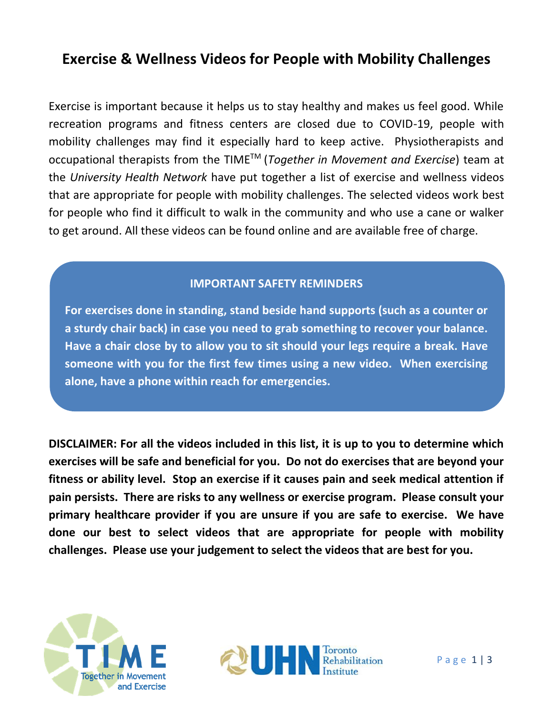# **Exercise & Wellness Videos for People with Mobility Challenges**

Exercise is important because it helps us to stay healthy and makes us feel good. While recreation programs and fitness centers are closed due to COVID-19, people with mobility challenges may find it especially hard to keep active. Physiotherapists and occupational therapists from the TIMETM (*Together in Movement and Exercise*) team at the *University Health Network* have put together a list of exercise and wellness videos that are appropriate for people with mobility challenges. The selected videos work best for people who find it difficult to walk in the community and who use a cane or walker to get around. All these videos can be found online and are available free of charge.

## **IMPORTANT SAFETY REMINDERS**

**For exercises done in standing, stand beside hand supports (such as a counter or a sturdy chair back) in case you need to grab something to recover your balance. Have a chair close by to allow you to sit should your legs require a break. Have someone with you for the first few times using a new video. When exercising alone, have a phone within reach for emergencies.**

**DISCLAIMER: For all the videos included in this list, it is up to you to determine which exercises will be safe and beneficial for you. Do not do exercises that are beyond your fitness or ability level. Stop an exercise if it causes pain and seek medical attention if pain persists. There are risks to any wellness or exercise program. Please consult your primary healthcare provider if you are unsure if you are safe to exercise. We have done our best to select videos that are appropriate for people with mobility challenges. Please use your judgement to select the videos that are best for you.**



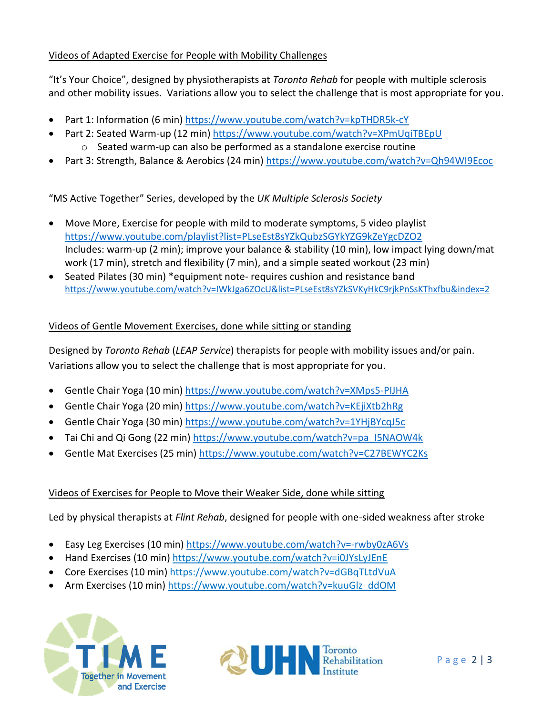## Videos of Adapted Exercise for People with Mobility Challenges

"It's Your Choice", designed by physiotherapists at *Toronto Rehab* for people with multiple sclerosis and other mobility issues. Variations allow you to select the challenge that is most appropriate for you.

- Part 1: Information (6 min)<https://www.youtube.com/watch?v=kpTHDR5k-cY>
- Part 2: Seated Warm-up (12 min[\) https://www.youtube.com/watch?v=XPmUqiTBEpU](https://www.youtube.com/watch?v=XPmUqiTBEpU) o Seated warm-up can also be performed as a standalone exercise routine
- Part 3: Strength, Balance & Aerobics (24 min[\) https://www.youtube.com/watch?v=Qh94WI9Ecoc](https://www.youtube.com/watch?v=Qh94WI9Ecoc)

"MS Active Together" Series, developed by the *UK Multiple Sclerosis Society*

- Move More, Exercise for people with mild to moderate symptoms, 5 video playlist <https://www.youtube.com/playlist?list=PLseEst8sYZkQubzSGYkYZG9kZeYgcDZO2> Includes: warm-up (2 min); improve your balance & stability (10 min), low impact lying down/mat work (17 min), stretch and flexibility (7 min), and a simple seated workout (23 min)
- Seated Pilates (30 min) \*equipment note- requires cushion and resistance band <https://www.youtube.com/watch?v=IWkJga6ZOcU&list=PLseEst8sYZkSVKyHkC9rjkPnSsKThxfbu&index=2>

#### Videos of Gentle Movement Exercises, done while sitting or standing

Designed by *Toronto Rehab* (*LEAP Service*) therapists for people with mobility issues and/or pain. Variations allow you to select the challenge that is most appropriate for you.

- Gentle Chair Yoga (10 min)<https://www.youtube.com/watch?v=XMps5-PIJHA>
- Gentle Chair Yoga (20 min)<https://www.youtube.com/watch?v=KEjiXtb2hRg>
- Gentle Chair Yoga (30 min)<https://www.youtube.com/watch?v=1YHjBYcqJ5c>
- Tai Chi and Qi Gong (22 min) [https://www.youtube.com/watch?v=pa\\_I5NAOW4k](https://www.youtube.com/watch?v=pa_I5NAOW4k)
- Gentle Mat Exercises (25 min)<https://www.youtube.com/watch?v=C27BEWYC2Ks>

#### Videos of Exercises for People to Move their Weaker Side, done while sitting

Led by physical therapists at *Flint Rehab*, designed for people with one-sided weakness after stroke

- Easy Leg Exercises (10 min)<https://www.youtube.com/watch?v=-rwby0zA6Vs>
- Hand Exercises (10 min)<https://www.youtube.com/watch?v=i0JYsLyJEnE>
- Core Exercises (10 min)<https://www.youtube.com/watch?v=dGBqTLtdVuA>
- Arm Exercises (10 min) [https://www.youtube.com/watch?v=kuuGlz\\_ddOM](https://www.youtube.com/watch?v=kuuGlz_ddOM)